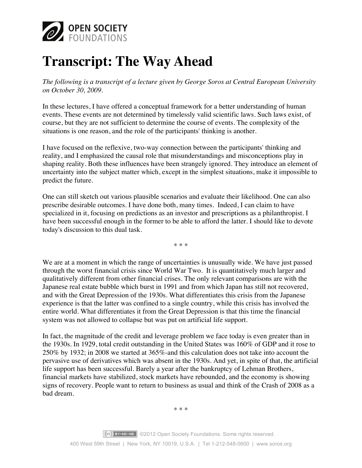

## **Transcript: The Way Ahead**

*The following is a transcript of a lecture given by George Soros at Central European University on October 30, 2009.*

In these lectures, I have offered a conceptual framework for a better understanding of human events. These events are not determined by timelessly valid scientific laws. Such laws exist, of course, but they are not sufficient to determine the course of events. The complexity of the situations is one reason, and the role of the participants' thinking is another.

I have focused on the reflexive, two-way connection between the participants' thinking and reality, and I emphasized the causal role that misunderstandings and misconceptions play in shaping reality. Both these influences have been strangely ignored. They introduce an element of uncertainty into the subject matter which, except in the simplest situations, make it impossible to predict the future.

One can still sketch out various plausible scenarios and evaluate their likelihood. One can also prescribe desirable outcomes. I have done both, many times. Indeed, I can claim to have specialized in it, focusing on predictions as an investor and prescriptions as a philanthropist. I have been successful enough in the former to be able to afford the latter. I should like to devote today's discussion to this dual task.

\* \* \*

We are at a moment in which the range of uncertainties is unusually wide. We have just passed through the worst financial crisis since World War Two. It is quantitatively much larger and qualitatively different from other financial crises. The only relevant comparisons are with the Japanese real estate bubble which burst in 1991 and from which Japan has still not recovered, and with the Great Depression of the 1930s. What differentiates this crisis from the Japanese experience is that the latter was confined to a single country, while this crisis has involved the entire world. What differentiates it from the Great Depression is that this time the financial system was not allowed to collapse but was put on artificial life support.

In fact, the magnitude of the credit and leverage problem we face today is even greater than in the 1930s. In 1929, total credit outstanding in the United States was 160% of GDP and it rose to 250% by 1932; in 2008 we started at 365%-and this calculation does not take into account the pervasive use of derivatives which was absent in the 1930s. And yet, in spite of that, the artificial life support has been successful. Barely a year after the bankruptcy of Lehman Brothers, financial markets have stabilized, stock markets have rebounded, and the economy is showing signs of recovery. People want to return to business as usual and think of the Crash of 2008 as a bad dream.

\* \* \*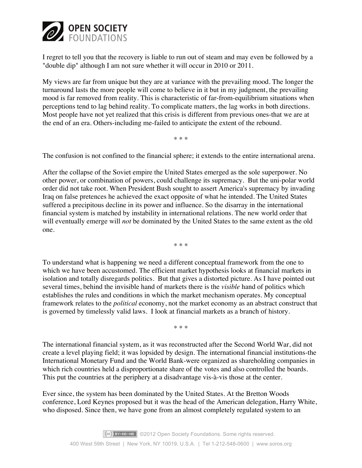

I regret to tell you that the recovery is liable to run out of steam and may even be followed by a "double dip" although I am not sure whether it will occur in 2010 or 2011.

My views are far from unique but they are at variance with the prevailing mood. The longer the turnaround lasts the more people will come to believe in it but in my judgment, the prevailing mood is far removed from reality. This is characteristic of far-from-equilibrium situations when perceptions tend to lag behind reality. To complicate matters, the lag works in both directions. Most people have not yet realized that this crisis is different from previous ones-that we are at the end of an era. Others-including me-failed to anticipate the extent of the rebound.

\* \* \*

The confusion is not confined to the financial sphere; it extends to the entire international arena.

After the collapse of the Soviet empire the United States emerged as the sole superpower. No other power, or combination of powers, could challenge its supremacy. But the uni-polar world order did not take root. When President Bush sought to assert America's supremacy by invading Iraq on false pretences he achieved the exact opposite of what he intended. The United States suffered a precipitous decline in its power and influence. So the disarray in the international financial system is matched by instability in international relations. The new world order that will eventually emerge will *not* be dominated by the United States to the same extent as the old one.

\* \* \*

To understand what is happening we need a different conceptual framework from the one to which we have been accustomed. The efficient market hypothesis looks at financial markets in isolation and totally disregards politics. But that gives a distorted picture. As I have pointed out several times, behind the invisible hand of markets there is the *visible* hand of politics which establishes the rules and conditions in which the market mechanism operates. My conceptual framework relates to the *political* economy, not the market economy as an abstract construct that is governed by timelessly valid laws. I look at financial markets as a branch of history.

\* \* \*

The international financial system, as it was reconstructed after the Second World War, did not create a level playing field; it was lopsided by design. The international financial institutions-the International Monetary Fund and the World Bank-were organized as shareholding companies in which rich countries held a disproportionate share of the votes and also controlled the boards. This put the countries at the periphery at a disadvantage vis-à-vis those at the center.

Ever since, the system has been dominated by the United States. At the Bretton Woods conference, Lord Keynes proposed but it was the head of the American delegation, Harry White, who disposed. Since then, we have gone from an almost completely regulated system to an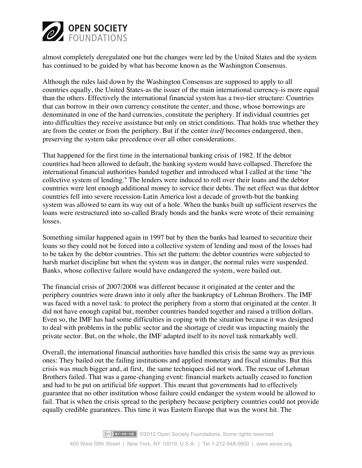

almost completely deregulated one but the changes were led by the United States and the system has continued to be guided by what has become known as the Washington Consensus.

Although the rules laid down by the Washington Consensus are supposed to apply to all countries equally, the United States-as the issuer of the main international currency-is more equal than the others. Effectively the international financial system has a two-tier structure: Countries that can borrow in their own currency constitute the center, and those, whose borrowings are denominated in one of the hard currencies, constitute the periphery. If individual countries get into difficulties they receive assistance but only on strict conditions. That holds true whether they are from the center or from the periphery. But if the center *itself* becomes endangered, then, preserving the system take precedence over all other considerations.

That happened for the first time in the international banking crisis of 1982. If the debtor countries had been allowed to default, the banking system would have collapsed. Therefore the international financial authorities banded together and introduced what I called at the time "the collective system of lending." The lenders were induced to roll over their loans and the debtor countries were lent enough additional money to service their debts. The net effect was that debtor countries fell into severe recession-Latin America lost a decade of growth-but the banking system was allowed to earn its way out of a hole. When the banks built up sufficient reserves the loans were restructured into so-called Brady bonds and the banks were wrote of their remaining losses.

Something similar happened again in 1997 but by then the banks had learned to securitize their loans so they could not be forced into a collective system of lending and most of the losses had to be taken by the debtor countries. This set the pattern: the debtor countries were subjected to harsh market discipline but when the system was in danger, the normal rules were suspended. Banks, whose collective failure would have endangered the system, were bailed out.

The financial crisis of 2007/2008 was different because it originated at the center and the periphery countries were drawn into it only after the bankruptcy of Lehman Brothers. The IMF was faced with a novel task: to protect the periphery from a storm that originated at the center. It did not have enough capital but, member countries banded together and raised a trillion dollars. Even so, the IMF has had some difficulties in coping with the situation because it was designed to deal with problems in the public sector and the shortage of credit was impacting mainly the private sector. But, on the whole, the IMF adapted itself to its novel task remarkably well.

Overall, the international financial authorities have handled this crisis the same way as previous ones: They bailed out the failing institutions and applied monetary and fiscal stimulus. But this crisis was much bigger and, at first, the same techniques did not work. The rescue of Lehman Brothers failed. That was a game-changing event: financial markets actually ceased to function and had to be put on artificial life support. This meant that governments had to effectively guarantee that no other institution whose failure could endanger the system would be allowed to fail. That is when the crisis spread to the periphery because periphery countries could not provide equally credible guarantees. This time it was Eastern Europe that was the worst hit. The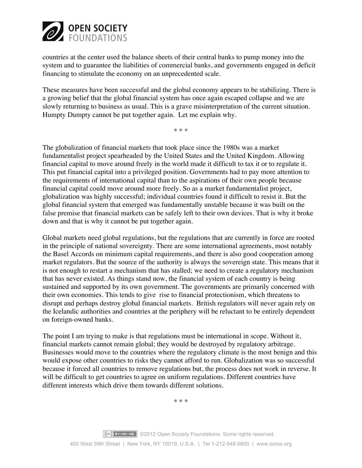

countries at the center used the balance sheets of their central banks to pump money into the system and to guarantee the liabilities of commercial banks, and governments engaged in deficit financing to stimulate the economy on an unprecedented scale.

These measures have been successful and the global economy appears to be stabilizing. There is a growing belief that the global financial system has once again escaped collapse and we are slowly returning to business as usual. This is a grave misinterpretation of the current situation. Humpty Dumpty cannot be put together again. Let me explain why.

\* \* \*

The globalization of financial markets that took place since the 1980s was a market fundamentalist project spearheaded by the United States and the United Kingdom. Allowing financial capital to move around freely in the world made it difficult to tax it or to regulate it. This put financial capital into a privileged position. Governments had to pay more attention to the requirements of international capital than to the aspirations of their own people because financial capital could move around more freely. So as a market fundamentalist project, globalization was highly successful; individual countries found it difficult to resist it. But the global financial system that emerged was fundamentally unstable because it was built on the false premise that financial markets can be safely left to their own devices. That is why it broke down and that is why it cannot be put together again.

Global markets need global regulations, but the regulations that are currently in force are rooted in the principle of national sovereignty. There are some international agreements, most notably the Basel Accords on minimum capital requirements, and there is also good cooperation among market regulators. But the source of the authority is always the sovereign state. This means that it is not enough to restart a mechanism that has stalled; we need to create a regulatory mechanism that has never existed. As things stand now, the financial system of each country is being sustained and supported by its own government. The governments are primarily concerned with their own economies. This tends to give rise to financial protectionism, which threatens to disrupt and perhaps destroy global financial markets. British regulators will never again rely on the Icelandic authorities and countries at the periphery will be reluctant to be entirely dependent on foreign-owned banks.

The point I am trying to make is that regulations must be international in scope. Without it, financial markets cannot remain global; they would be destroyed by regulatory arbitrage. Businesses would move to the countries where the regulatory climate is the most benign and this would expose other countries to risks they cannot afford to run. Globalization was so successful because it forced all countries to remove regulations but, the process does not work in reverse. It will be difficult to get countries to agree on uniform regulations. Different countries have different interests which drive them towards different solutions.

\* \* \*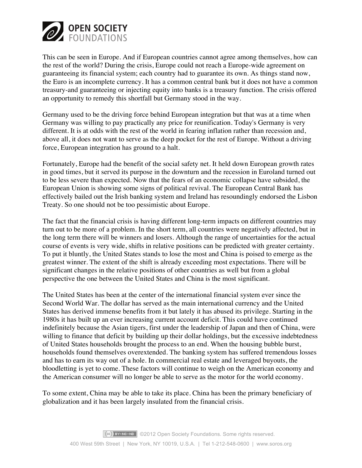

This can be seen in Europe. And if European countries cannot agree among themselves, how can the rest of the world? During the crisis, Europe could not reach a Europe-wide agreement on guaranteeing its financial system; each country had to guarantee its own. As things stand now, the Euro is an incomplete currency. It has a common central bank but it does not have a common treasury-and guaranteeing or injecting equity into banks is a treasury function. The crisis offered an opportunity to remedy this shortfall but Germany stood in the way.

Germany used to be the driving force behind European integration but that was at a time when Germany was willing to pay practically any price for reunification. Today's Germany is very different. It is at odds with the rest of the world in fearing inflation rather than recession and, above all, it does not want to serve as the deep pocket for the rest of Europe. Without a driving force, European integration has ground to a halt.

Fortunately, Europe had the benefit of the social safety net. It held down European growth rates in good times, but it served its purpose in the downturn and the recession in Euroland turned out to be less severe than expected. Now that the fears of an economic collapse have subsided, the European Union is showing some signs of political revival. The European Central Bank has effectively bailed out the Irish banking system and Ireland has resoundingly endorsed the Lisbon Treaty. So one should not be too pessimistic about Europe.

The fact that the financial crisis is having different long-term impacts on different countries may turn out to be more of a problem. In the short term, all countries were negatively affected, but in the long term there will be winners and losers. Although the range of uncertainties for the actual course of events is very wide, shifts in relative positions can be predicted with greater certainty. To put it bluntly, the United States stands to lose the most and China is poised to emerge as the greatest winner. The extent of the shift is already exceeding most expectations. There will be significant changes in the relative positions of other countries as well but from a global perspective the one between the United States and China is the most significant.

The United States has been at the center of the international financial system ever since the Second World War. The dollar has served as the main international currency and the United States has derived immense benefits from it but lately it has abused its privilege. Starting in the 1980s it has built up an ever increasing current account deficit. This could have continued indefinitely because the Asian tigers, first under the leadership of Japan and then of China, were willing to finance that deficit by building up their dollar holdings, but the excessive indebtedness of United States households brought the process to an end. When the housing bubble burst, households found themselves overextended. The banking system has suffered tremendous losses and has to earn its way out of a hole. In commercial real estate and leveraged buyouts, the bloodletting is yet to come. These factors will continue to weigh on the American economy and the American consumer will no longer be able to serve as the motor for the world economy.

To some extent, China may be able to take its place. China has been the primary beneficiary of globalization and it has been largely insulated from the financial crisis.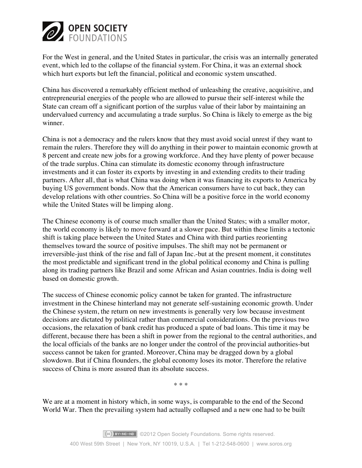

For the West in general, and the United States in particular, the crisis was an internally generated event, which led to the collapse of the financial system. For China, it was an external shock which hurt exports but left the financial, political and economic system unscathed.

China has discovered a remarkably efficient method of unleashing the creative, acquisitive, and entrepreneurial energies of the people who are allowed to pursue their self-interest while the State can cream off a significant portion of the surplus value of their labor by maintaining an undervalued currency and accumulating a trade surplus. So China is likely to emerge as the big winner.

China is not a democracy and the rulers know that they must avoid social unrest if they want to remain the rulers. Therefore they will do anything in their power to maintain economic growth at 8 percent and create new jobs for a growing workforce. And they have plenty of power because of the trade surplus. China can stimulate its domestic economy through infrastructure investments and it can foster its exports by investing in and extending credits to their trading partners. After all, that is what China was doing when it was financing its exports to America by buying US government bonds. Now that the American consumers have to cut back, they can develop relations with other countries. So China will be a positive force in the world economy while the United States will be limping along.

The Chinese economy is of course much smaller than the United States; with a smaller motor, the world economy is likely to move forward at a slower pace. But within these limits a tectonic shift is taking place between the United States and China with third parties reorienting themselves toward the source of positive impulses. The shift may not be permanent or irreversible-just think of the rise and fall of Japan Inc.-but at the present moment, it constitutes the most predictable and significant trend in the global political economy and China is pulling along its trading partners like Brazil and some African and Asian countries. India is doing well based on domestic growth.

The success of Chinese economic policy cannot be taken for granted. The infrastructure investment in the Chinese hinterland may not generate self-sustaining economic growth. Under the Chinese system, the return on new investments is generally very low because investment decisions are dictated by political rather than commercial considerations. On the previous two occasions, the relaxation of bank credit has produced a spate of bad loans. This time it may be different, because there has been a shift in power from the regional to the central authorities, and the local officials of the banks are no longer under the control of the provincial authorities-but success cannot be taken for granted. Moreover, China may be dragged down by a global slowdown. But if China flounders, the global economy loses its motor. Therefore the relative success of China is more assured than its absolute success.

\* \* \*

We are at a moment in history which, in some ways, is comparable to the end of the Second World War. Then the prevailing system had actually collapsed and a new one had to be built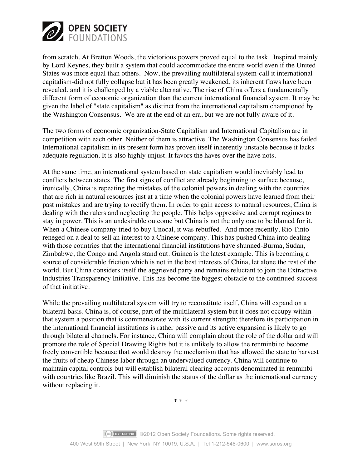

from scratch. At Bretton Woods, the victorious powers proved equal to the task. Inspired mainly by Lord Keynes, they built a system that could accommodate the entire world even if the United States was more equal than others. Now, the prevailing multilateral system-call it international capitalism-did not fully collapse but it has been greatly weakened, its inherent flaws have been revealed, and it is challenged by a viable alternative. The rise of China offers a fundamentally different form of economic organization than the current international financial system. It may be given the label of "state capitalism" as distinct from the international capitalism championed by the Washington Consensus. We are at the end of an era, but we are not fully aware of it.

The two forms of economic organization-State Capitalism and International Capitalism are in competition with each other. Neither of them is attractive. The Washington Consensus has failed. International capitalism in its present form has proven itself inherently unstable because it lacks adequate regulation. It is also highly unjust. It favors the haves over the have nots.

At the same time, an international system based on state capitalism would inevitably lead to conflicts between states. The first signs of conflict are already beginning to surface because, ironically, China is repeating the mistakes of the colonial powers in dealing with the countries that are rich in natural resources just at a time when the colonial powers have learned from their past mistakes and are trying to rectify them. In order to gain access to natural resources, China is dealing with the rulers and neglecting the people. This helps oppressive and corrupt regimes to stay in power. This is an undesirable outcome but China is not the only one to be blamed for it. When a Chinese company tried to buy Unocal, it was rebuffed. And more recently, Rio Tinto reneged on a deal to sell an interest to a Chinese company. This has pushed China into dealing with those countries that the international financial institutions have shunned-Burma, Sudan, Zimbabwe, the Congo and Angola stand out. Guinea is the latest example. This is becoming a source of considerable friction which is not in the best interests of China, let alone the rest of the world. But China considers itself the aggrieved party and remains reluctant to join the Extractive Industries Transparency Initiative. This has become the biggest obstacle to the continued success of that initiative.

While the prevailing multilateral system will try to reconstitute itself, China will expand on a bilateral basis. China is, of course, part of the multilateral system but it does not occupy within that system a position that is commensurate with its current strength; therefore its participation in the international financial institutions is rather passive and its active expansion is likely to go through bilateral channels. For instance, China will complain about the role of the dollar and will promote the role of Special Drawing Rights but it is unlikely to allow the renminbi to become freely convertible because that would destroy the mechanism that has allowed the state to harvest the fruits of cheap Chinese labor through an undervalued currency. China will continue to maintain capital controls but will establish bilateral clearing accounts denominated in renminbi with countries like Brazil. This will diminish the status of the dollar as the international currency without replacing it.

\* \* \*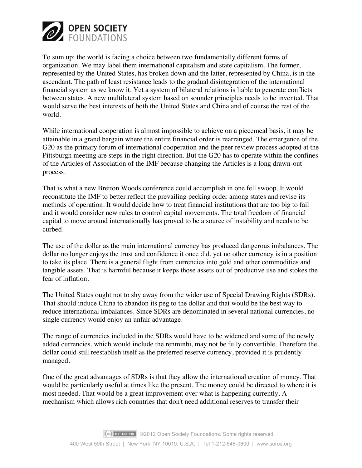

To sum up: the world is facing a choice between two fundamentally different forms of organization. We may label them international capitalism and state capitalism. The former, represented by the United States, has broken down and the latter, represented by China, is in the ascendant. The path of least resistance leads to the gradual disintegration of the international financial system as we know it. Yet a system of bilateral relations is liable to generate conflicts between states. A new multilateral system based on sounder principles needs to be invented. That would serve the best interests of both the United States and China and of course the rest of the world.

While international cooperation is almost impossible to achieve on a piecemeal basis, it may be attainable in a grand bargain where the entire financial order is rearranged. The emergence of the G20 as the primary forum of international cooperation and the peer review process adopted at the Pittsburgh meeting are steps in the right direction. But the G20 has to operate within the confines of the Articles of Association of the IMF because changing the Articles is a long drawn-out process.

That is what a new Bretton Woods conference could accomplish in one fell swoop. It would reconstitute the IMF to better reflect the prevailing pecking order among states and revise its methods of operation. It would decide how to treat financial institutions that are too big to fail and it would consider new rules to control capital movements. The total freedom of financial capital to move around internationally has proved to be a source of instability and needs to be curbed.

The use of the dollar as the main international currency has produced dangerous imbalances. The dollar no longer enjoys the trust and confidence it once did, yet no other currency is in a position to take its place. There is a general flight from currencies into gold and other commodities and tangible assets. That is harmful because it keeps those assets out of productive use and stokes the fear of inflation.

The United States ought not to shy away from the wider use of Special Drawing Rights (SDRs). That should induce China to abandon its peg to the dollar and that would be the best way to reduce international imbalances. Since SDRs are denominated in several national currencies, no single currency would enjoy an unfair advantage.

The range of currencies included in the SDRs would have to be widened and some of the newly added currencies, which would include the renminbi, may not be fully convertible. Therefore the dollar could still reestablish itself as the preferred reserve currency, provided it is prudently managed.

One of the great advantages of SDRs is that they allow the international creation of money. That would be particularly useful at times like the present. The money could be directed to where it is most needed. That would be a great improvement over what is happening currently. A mechanism which allows rich countries that don't need additional reserves to transfer their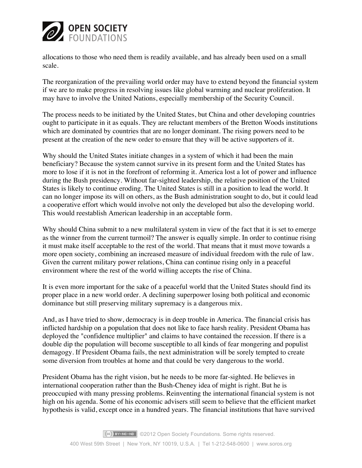

allocations to those who need them is readily available, and has already been used on a small scale.

The reorganization of the prevailing world order may have to extend beyond the financial system if we are to make progress in resolving issues like global warming and nuclear proliferation. It may have to involve the United Nations, especially membership of the Security Council.

The process needs to be initiated by the United States, but China and other developing countries ought to participate in it as equals. They are reluctant members of the Bretton Woods institutions which are dominated by countries that are no longer dominant. The rising powers need to be present at the creation of the new order to ensure that they will be active supporters of it.

Why should the United States initiate changes in a system of which it had been the main beneficiary? Because the system cannot survive in its present form and the United States has more to lose if it is not in the forefront of reforming it. America lost a lot of power and influence during the Bush presidency. Without far-sighted leadership, the relative position of the United States is likely to continue eroding. The United States is still in a position to lead the world. It can no longer impose its will on others, as the Bush administration sought to do, but it could lead a cooperative effort which would involve not only the developed but also the developing world. This would reestablish American leadership in an acceptable form.

Why should China submit to a new multilateral system in view of the fact that it is set to emerge as the winner from the current turmoil? The answer is equally simple. In order to continue rising it must make itself acceptable to the rest of the world. That means that it must move towards a more open society, combining an increased measure of individual freedom with the rule of law. Given the current military power relations, China can continue rising only in a peaceful environment where the rest of the world willing accepts the rise of China.

It is even more important for the sake of a peaceful world that the United States should find its proper place in a new world order. A declining superpower losing both political and economic dominance but still preserving military supremacy is a dangerous mix.

And, as I have tried to show, democracy is in deep trouble in America. The financial crisis has inflicted hardship on a population that does not like to face harsh reality. President Obama has deployed the "confidence multiplier" and claims to have contained the recession. If there is a double dip the population will become susceptible to all kinds of fear mongering and populist demagogy. If President Obama fails, the next administration will be sorely tempted to create some diversion from troubles at home and that could be very dangerous to the world.

President Obama has the right vision, but he needs to be more far-sighted. He believes in international cooperation rather than the Bush-Cheney idea of might is right. But he is preoccupied with many pressing problems. Reinventing the international financial system is not high on his agenda. Some of his economic advisers still seem to believe that the efficient market hypothesis is valid, except once in a hundred years. The financial institutions that have survived